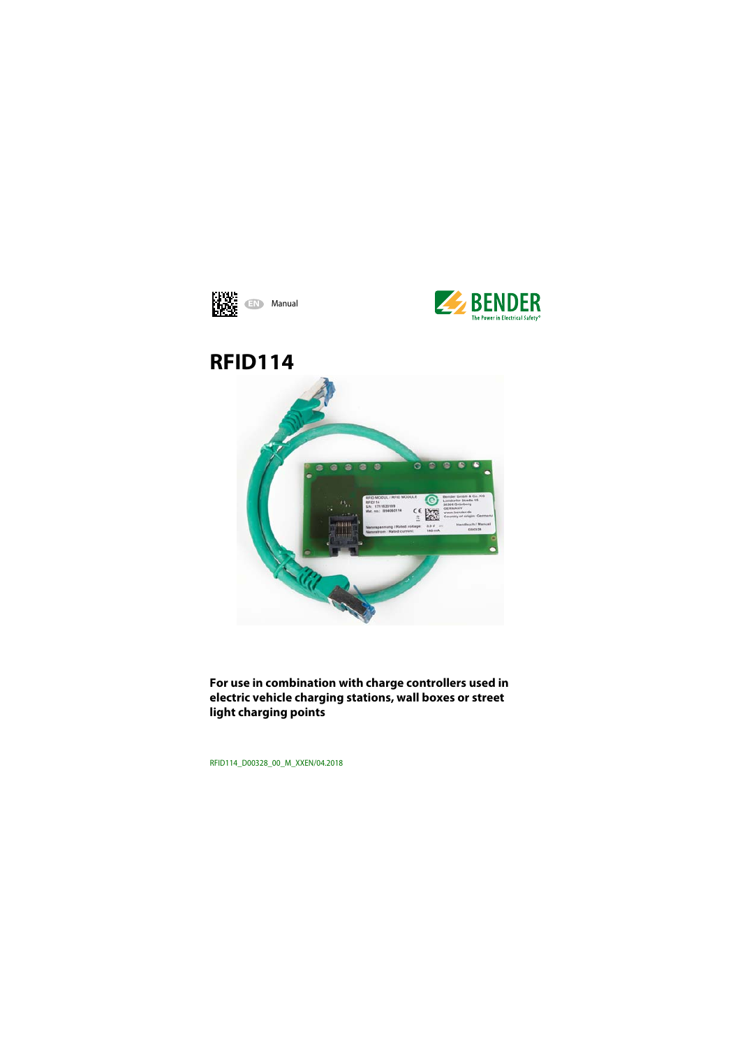



# **RFID114**



<span id="page-0-0"></span>**For use in combination with charge controllers used in electric vehicle charging stations, wall boxes or street light charging points**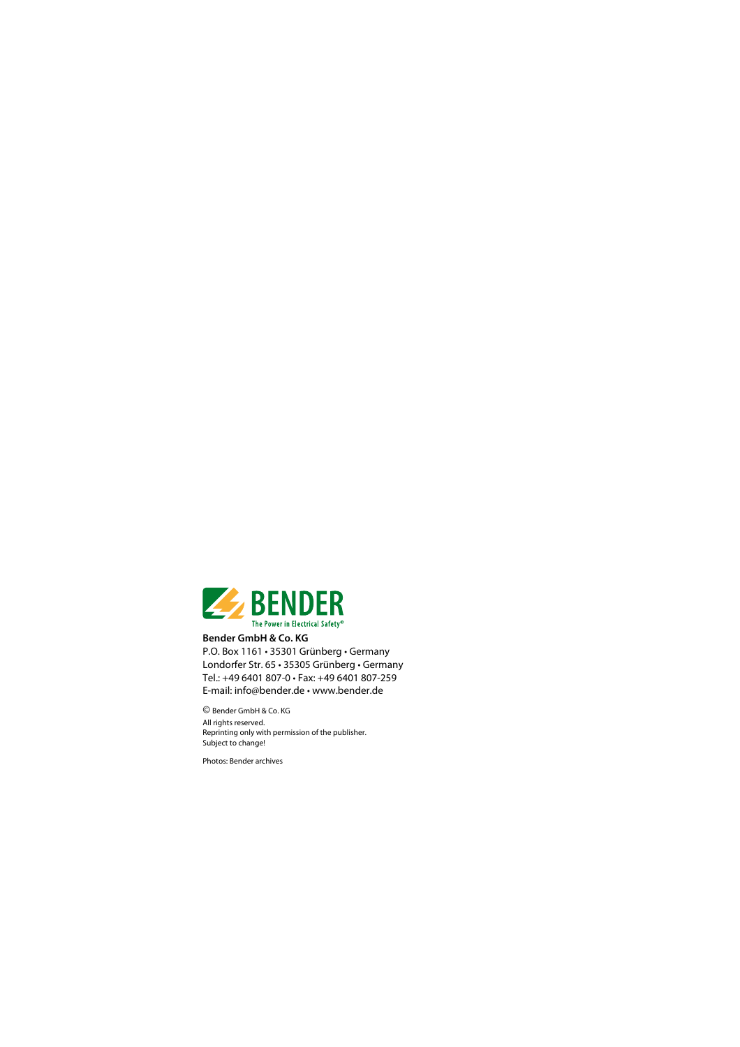

#### **Bender GmbH & Co. KG**

P.O. Box 1161 • 35301 Grünberg • Germany Londorfer Str. 65 • 35305 Grünberg • Germany Tel.: +49 6401 807-0 • Fax: +49 6401 807-259 [E-mail: info@bender.de • www.bender.de](http://www.bender-de.com)

© Bender GmbH & Co. KG

All rights reserved. Reprinting only with permission of the publisher. Subject to change!

Photos: Bender archives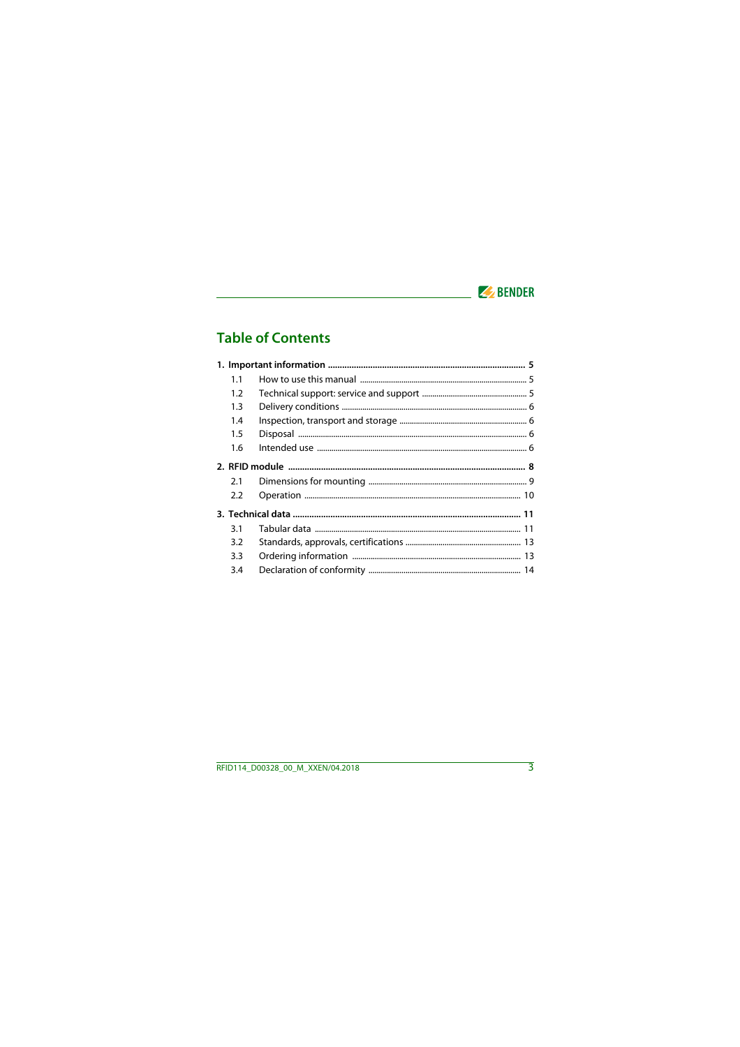

## **Table of Contents**

| 1.1     |  |
|---------|--|
| 1.2     |  |
| 1.3     |  |
| 1.4     |  |
| $1.5\,$ |  |
| 1.6     |  |
|         |  |
| 2.1     |  |
| 2.2     |  |
|         |  |
| 3.1     |  |
| 3.2     |  |
| 3.3     |  |
| 3.4     |  |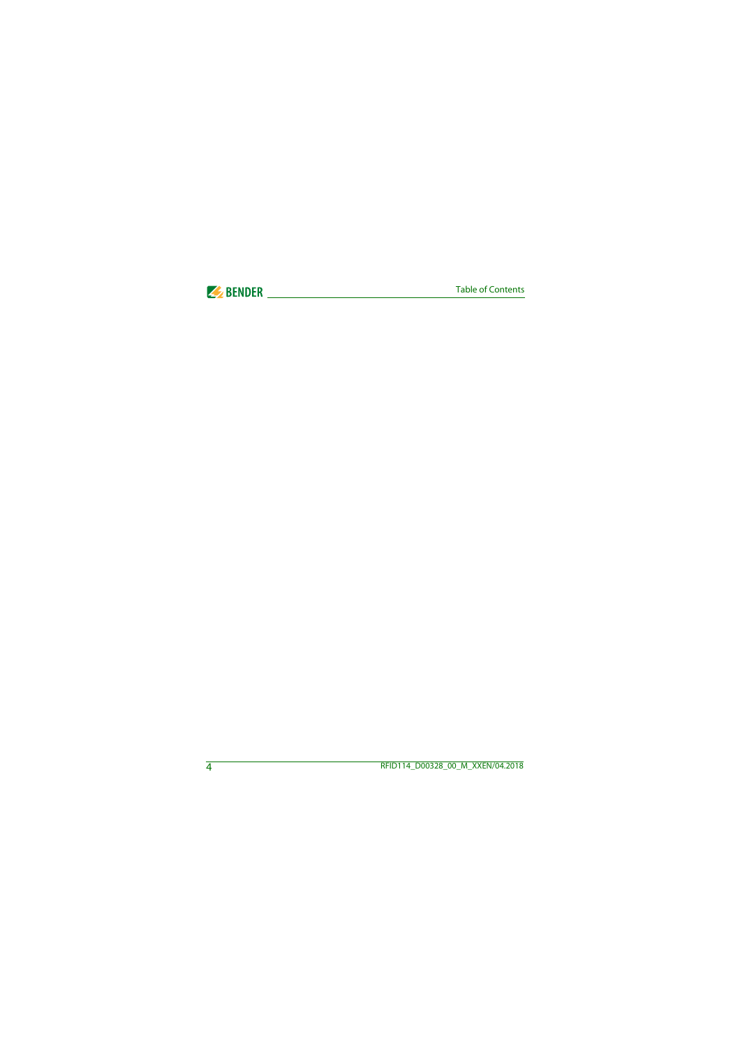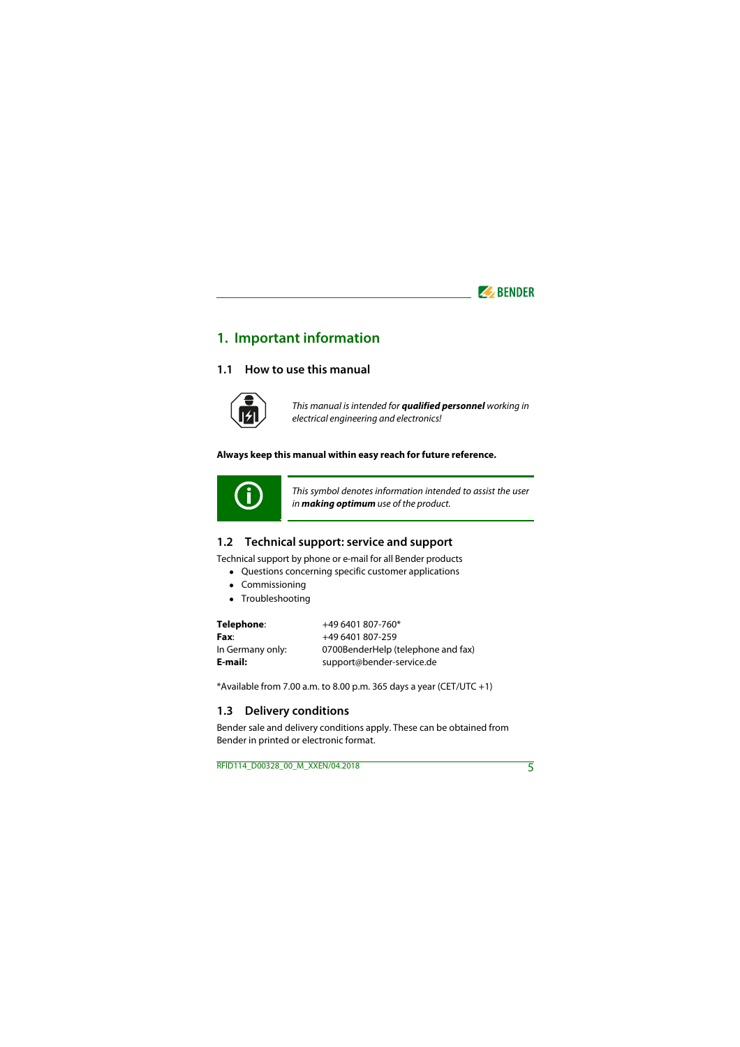

## <span id="page-4-0"></span>**1. Important information**

## <span id="page-4-1"></span>**1.1 How to use this manual**



This manual is intended for *qualified personnel* working in electrical engineering and electronics!

#### **Always keep this manual within easy reach for future reference.**



This symbol denotes information intended to assist the user in *making optimum* use of the product.

### <span id="page-4-2"></span>**1.2 Technical support: service and support**

Technical support by phone or e-mail for all Bender products

- Questions concerning specific customer applications
- Commissioning
- Troubleshooting

| Telephone:       | +49 6401 807-760*                  |
|------------------|------------------------------------|
| Fax:             | +49 6401 807-259                   |
| In Germany only: | 0700BenderHelp (telephone and fax) |
| E-mail:          | support@bender-service.de          |

\*Available from 7.00 a.m. to 8.00 p.m. 365 days a year (CET/UTC  $+1$ )

### <span id="page-4-3"></span>**1.3 Delivery conditions**

Bender sale and delivery conditions apply. These can be obtained from Bender in printed or electronic format.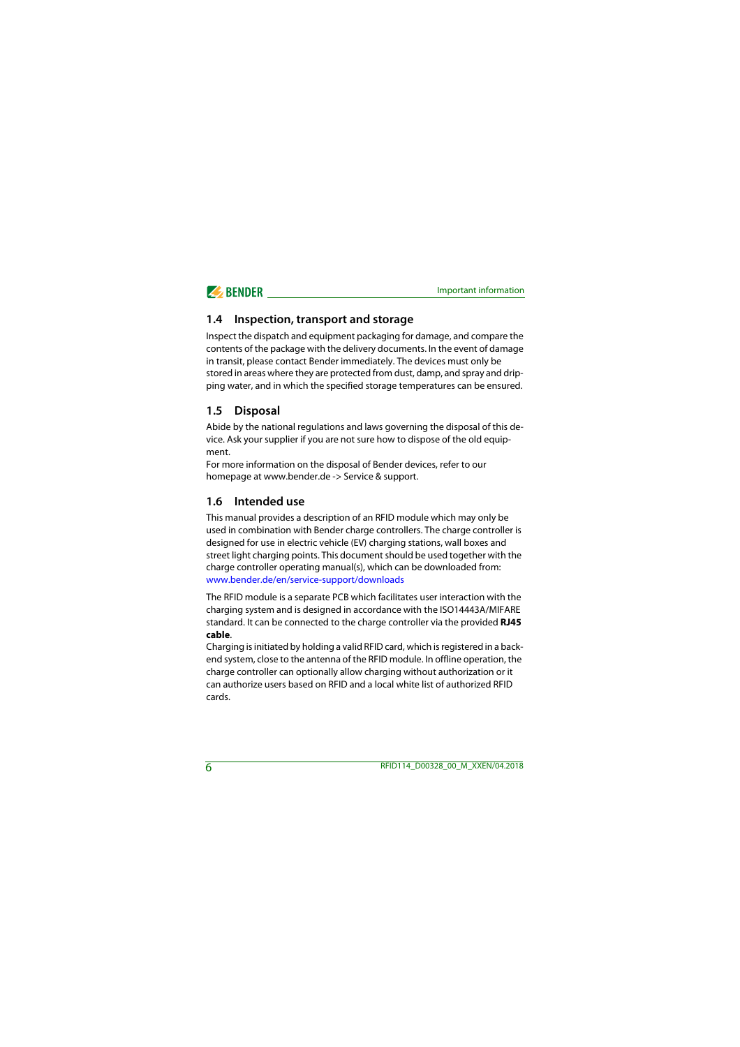

## <span id="page-5-0"></span>**1.4 Inspection, transport and storage**

Inspect the dispatch and equipment packaging for damage, and compare the contents of the package with the delivery documents. In the event of damage in transit, please contact Bender immediately. The devices must only be stored in areas where they are protected from dust, damp, and spray and dripping water, and in which the specified storage temperatures can be ensured.

## <span id="page-5-1"></span>**1.5 Disposal**

Abide by the national regulations and laws governing the disposal of this device. Ask your supplier if you are not sure how to dispose of the old equipment.

For more information on the disposal of Bender devices, refer to our homepage at www.bender.de -> Service & support.

## <span id="page-5-2"></span>**1.6 Intended use**

This manual provides a description of an RFID module which may only be used in combination with Bender charge controllers. The charge controller is designed for use in electric vehicle (EV) charging stations, wall boxes and street light charging points. This document should be used together with the charge controller operating manual(s), which can be downloaded from: [www.bender.de/en/service-support/downloads](https://www.bender.de/en/service-support/downloads)

The RFID module is a separate PCB which facilitates user interaction with the charging system and is designed in accordance with the ISO14443A/MIFARE standard. It can be connected to the charge controller via the provided **RJ45 cable**.

Charging is initiated by holding a valid RFID card, which is registered in a backend system, close to the antenna of the RFID module. In offline operation, the charge controller can optionally allow charging without authorization or it can authorize users based on RFID and a local white list of authorized RFID cards.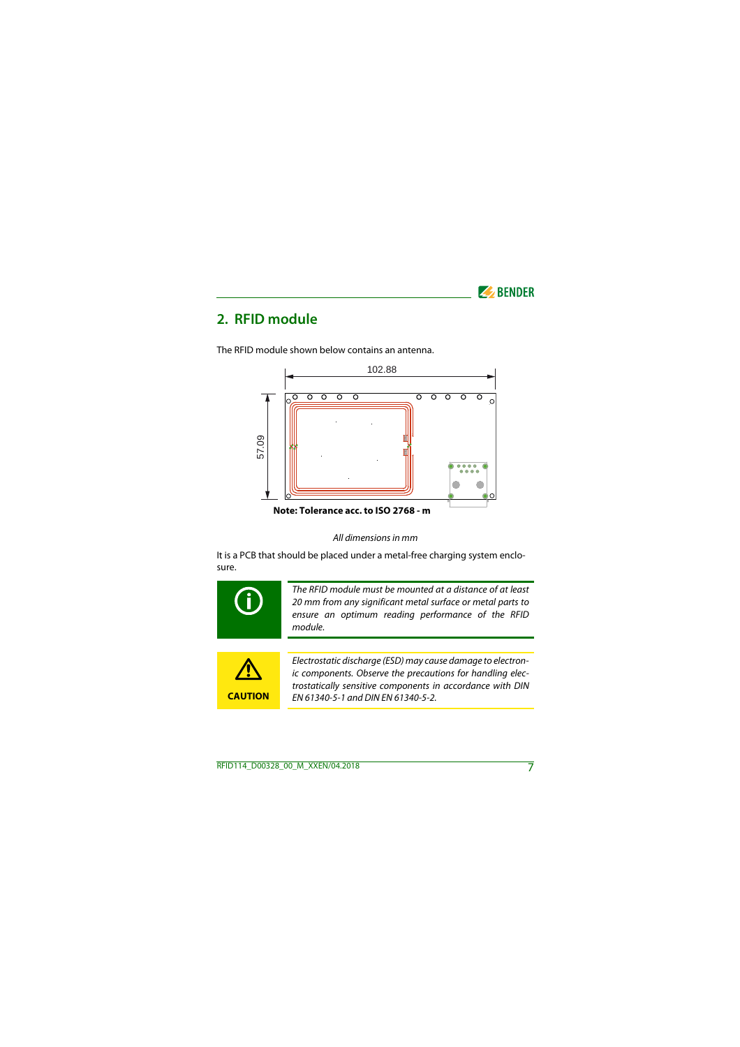

## <span id="page-6-0"></span>**2. RFID module**

The RFID module shown below contains an antenna.



All dimensions in mm

It is a PCB that should be placed under a metal-free charging system enclosure.

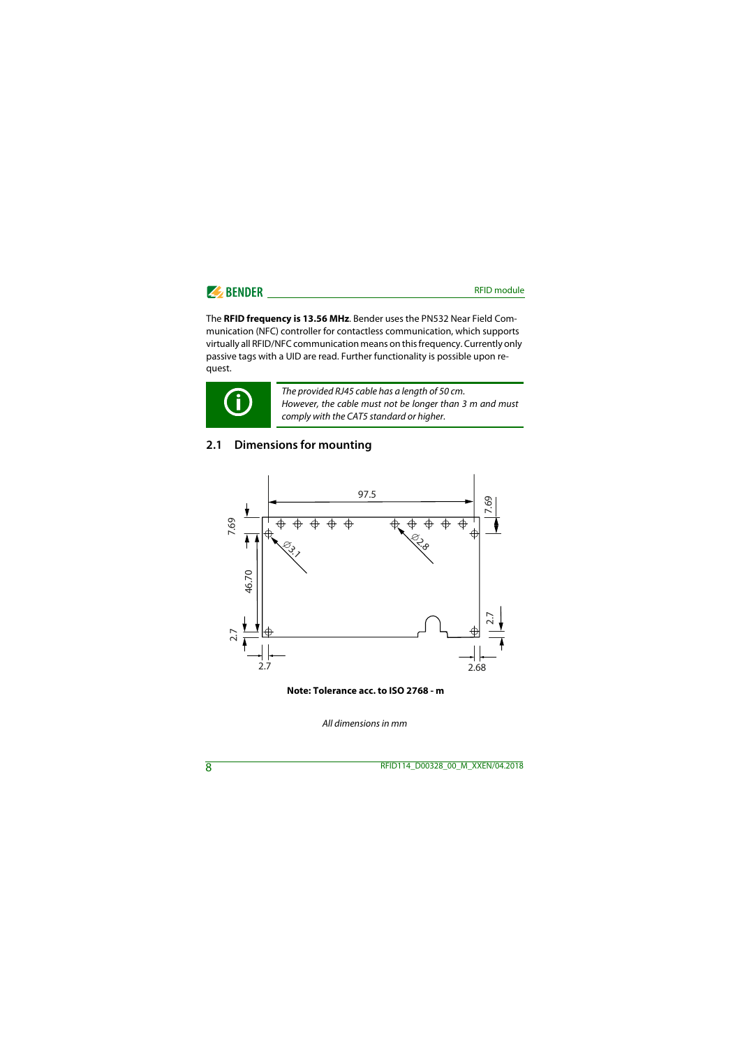

The **RFID frequency is 13.56 MHz**. Bender uses the PN532 Near Field Communication (NFC) controller for contactless communication, which supports virtually all RFID/NFC communication means on this frequency. Currently only passive tags with a UID are read. Further functionality is possible upon request.



The provided RJ45 cable has a length of 50 cm. However, the cable must not be longer than 3 m and must comply with the CAT5 standard or higher.

## <span id="page-7-0"></span>**2.1 Dimensions for mounting**



**Note: Tolerance acc. to ISO 2768 - m**

All dimensions in mm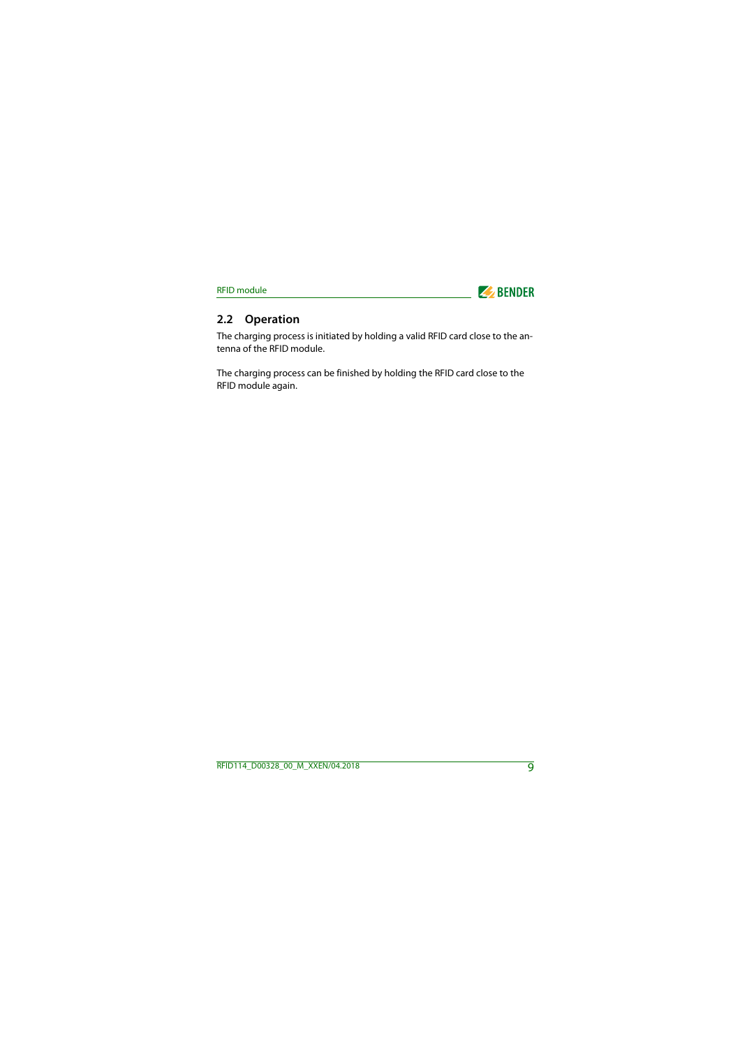

## <span id="page-8-0"></span>**2.2 Operation**

The charging process is initiated by holding a valid RFID card close to the antenna of the RFID module.

The charging process can be finished by holding the RFID card close to the RFID module again.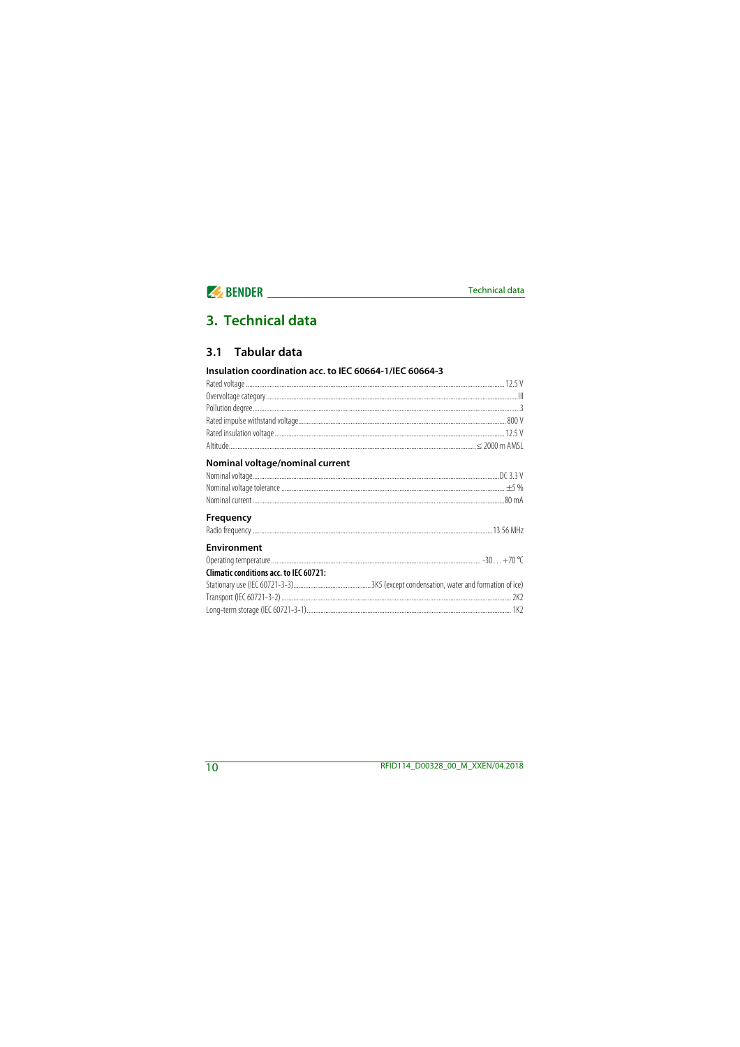

# <span id="page-9-0"></span>3. Technical data

## <span id="page-9-1"></span>3.1 Tabular data

#### Insulation coordination acc. to IEC 60664-1/IEC 60664-3

#### Nominal voltage/nominal current

|                 | 10(33V) |
|-----------------|---------|
|                 |         |
| Nominal current | 80 m A  |

#### Frequency

| <b>Environment</b>                     |  |
|----------------------------------------|--|
|                                        |  |
| Climatic conditions acc. to IEC 60721: |  |
|                                        |  |
|                                        |  |
|                                        |  |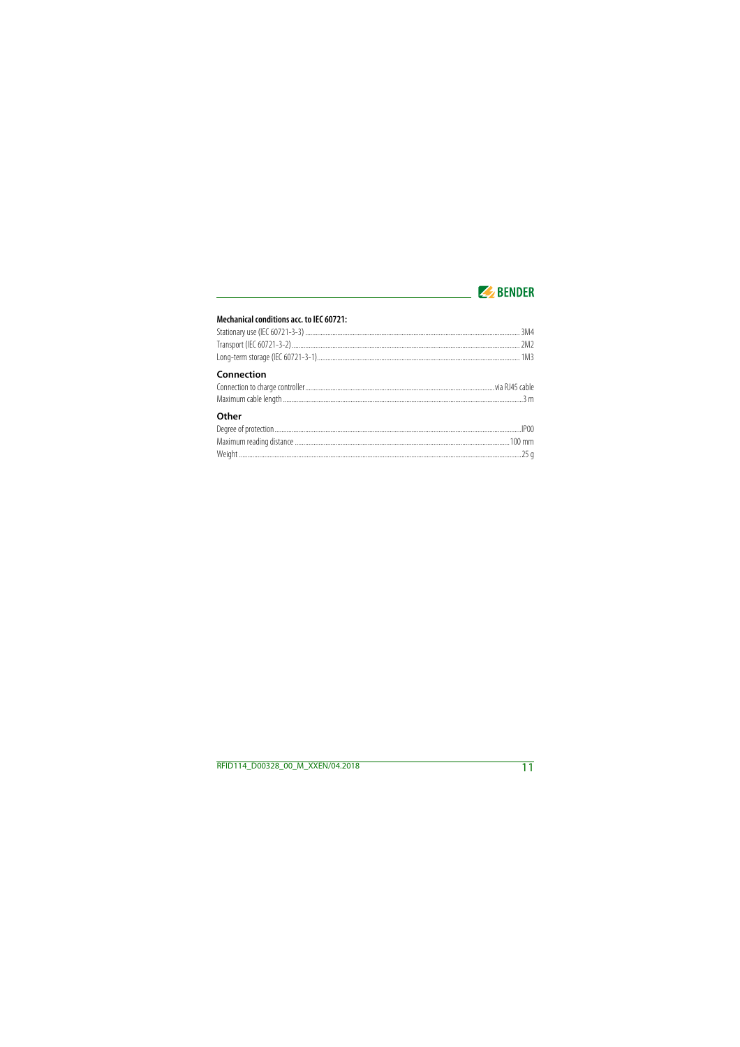

#### Mechanical conditions acc. to IEC 60721:

| - 2M2 |
|-------|
| 1M3   |

#### Connection

#### Other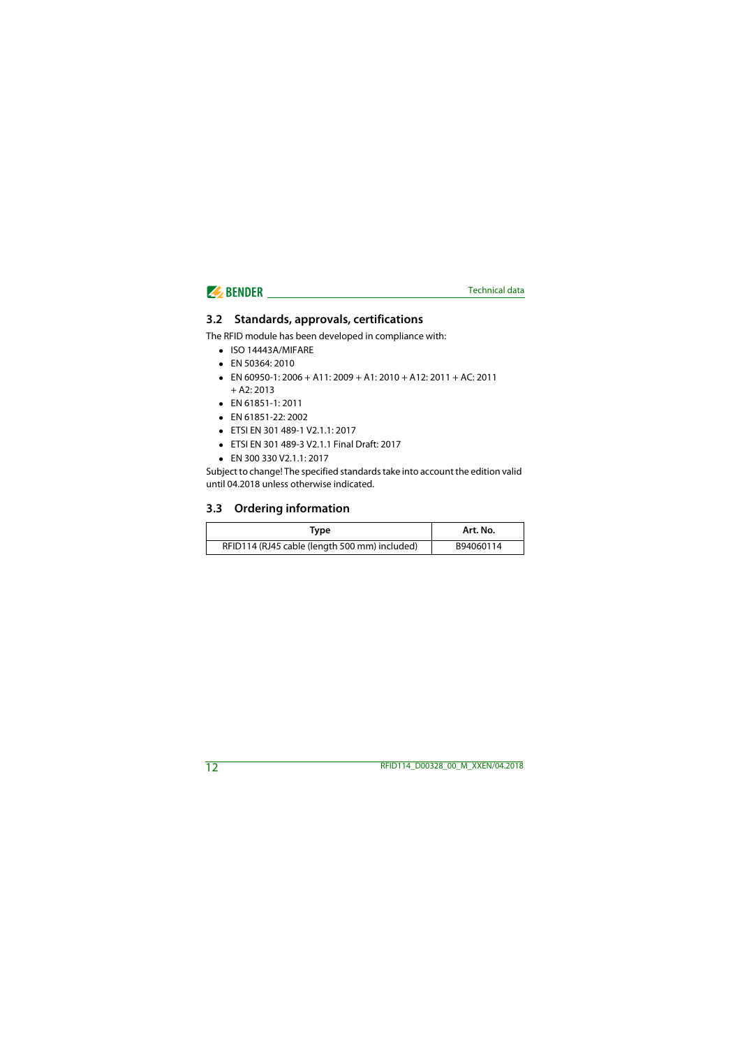

## <span id="page-11-0"></span>**3.2 Standards, approvals, certifications**

The RFID module has been developed in compliance with:

- ISO 14443A/MIFARE
- $\bullet$  FN 50364: 2010
- $\bullet$  EN 60950-1: 2006 + A11: 2009 + A1: 2010 + A12: 2011 + AC: 2011  $+$  A<sub>2</sub>: 2013
- $\bullet$  FN 61851-1: 2011
- EN 61851-22: 2002
- $\bullet$  FTSI FN 301 489-1 V2.1.1: 2017
- ETSI EN 301 489-3 V2.1.1 Final Draft: 2017
- EN 300 330 V2.1.1: 2017

Subject to change! The specified standards take into account the edition valid until 04.2018 unless otherwise indicated.

## <span id="page-11-1"></span>**3.3 Ordering information**

| Type                                          | Art. No.  |
|-----------------------------------------------|-----------|
| RFID114 (RJ45 cable (length 500 mm) included) | B94060114 |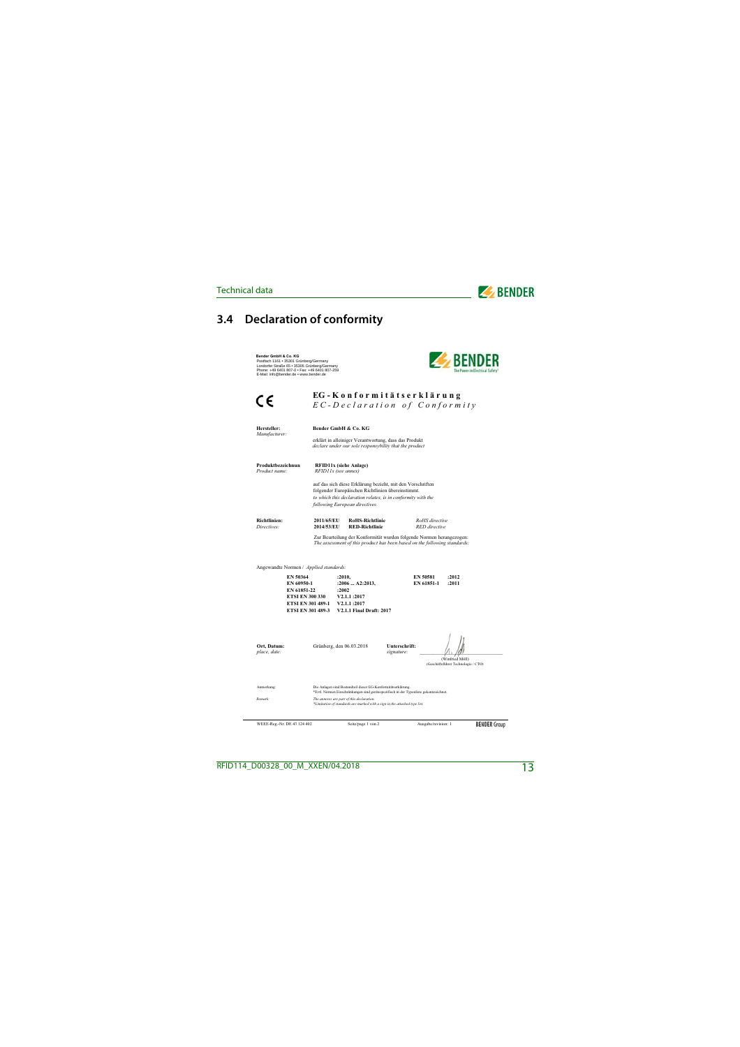

### <span id="page-12-0"></span>**3.4 Declaration of conformity**

**Bender GmbH & Co. KG** Postfach 1161 • 35301 Grünberg/Germany Londorfer Straße 65 • 35305 Grünberg/Germany Phone: +49 6401 807-0 • Fax: +49 6401 807-259 E-Mail: info@bender.de • www.bender.de



#### **EG - K o n f o r m i t ä t s e r k l ä r u n g**  $\epsilon$  $EC$ -Declaration of Conformity **Hersteller: Bender GmbH & Co. KG** *Manufacturer:* erklärt in alleiniger Verantwortung, dass das Produkt *declare under our sole responsybility that the product* **Produktbezeichnun RFID11x (siehe Anlage)**<br>*Product name: RFID11x (see annex) Product name: RFID11x (see annex)* auf das sich diese Erklärung bezieht, mit den Vorschriften folgender Europäischen Richtlinien übereinstimmt. *to which this declaration relates, is in conformity with the following European directives.* **Richtlinien: 2011/65/EU RoHS-Richtlinie** *RoHS directive Directives:* **2014/53/EU RED-Richtlinie** *RED directive* Zur Beurteilung der Konformität wurden folgende Normen herangezogen: *The assessment of this product has been based on the following standards:* Angewandte Normen / *Applied standards:* **EN 50364 :2010, EN 50581 :2012 EN 60950-1 :2006 ... A2:2013, EN 61851-1 :2011 EN 61851-22 :2002 ETSI EN 300 330 V2.1.1 :2017 ETSI EN 301 489-1 ETSI EN 301 489-3 V2.1.1 Final Draft: 2017 Ort, Datum:** Grünberg, den 06.03.2018 **Unterschrift:** place, date: *signature: signature: ll***ll** *llll***ll** (Winfried Möll) (Geschäftsführer Technologie / CTO) Anmerkung: Die Anlagen sind Bestandteil dieser EG-Konformitätserklä \*Evtl. Normen Einschränkungen sind gerätespezifisch in der Typenliste gekennzeichnet. *Remark: The annexes are part of this declare \*Limitation of standards are marked with a sign in the attached type list.*  **BENDER** Group WEEE-Reg.-Nr. DE 43 124 402 Seite/page 1 von 2 Ausgabe/revision: 1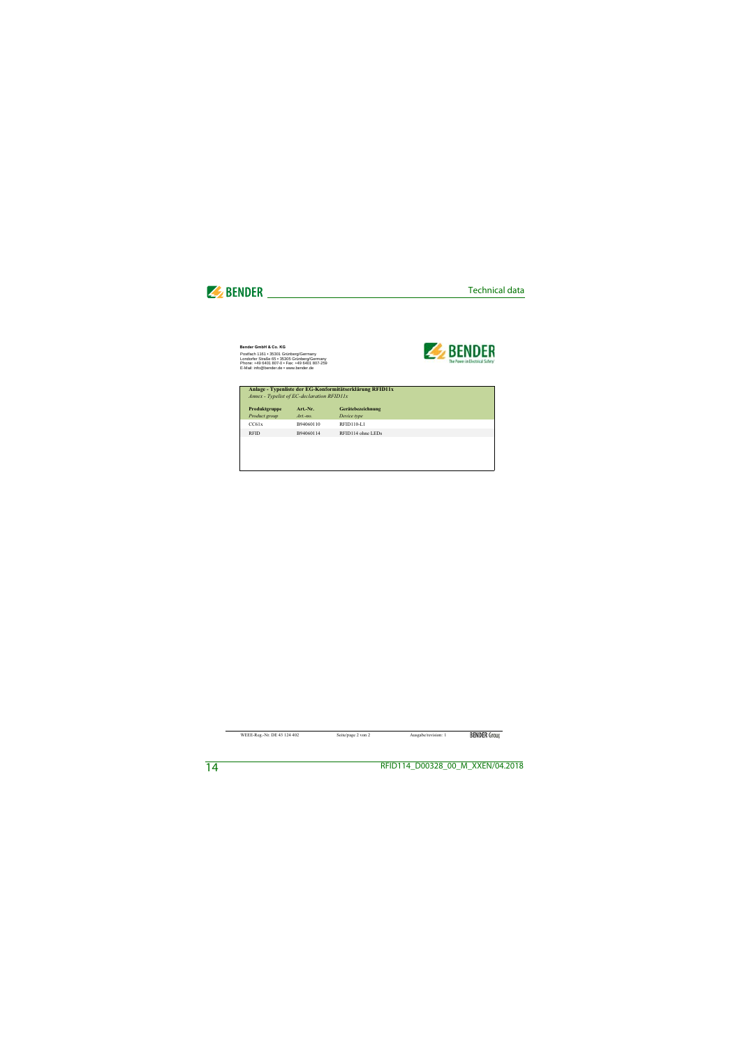

#### **Bender GmbH & Co. KG**

Postfach 1161 • 35301 Grünberg/Germany<br>Londorfer Straße 65 • 35305 Grünberg/Germany<br>Phone: +49 6401 807-0 • Fax: +49 6401 807-259<br>E-Mail: info@bender.de • www.bender.de



| Anlage - Typenliste der EG-Konformitätserklärung RFID11x<br>Annex - Typelist of EC-declaration RFID11x |                       |                                  |
|--------------------------------------------------------------------------------------------------------|-----------------------|----------------------------------|
| Produktgruppe<br>Product group                                                                         | Art. Nr.<br>$Art$ -no | Gerätebezeichnung<br>Device type |
| CC61x                                                                                                  | B94060110             | REID110-L1                       |
| <b>RFID</b>                                                                                            | B94060114             | RFID114 ohne LEDs                |
|                                                                                                        |                       |                                  |
|                                                                                                        |                       |                                  |